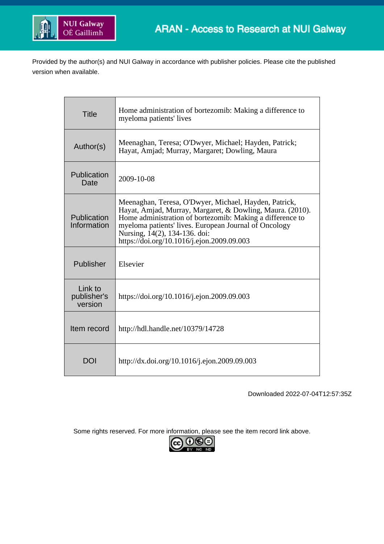

Provided by the author(s) and NUI Galway in accordance with publisher policies. Please cite the published version when available.

| <b>Title</b>                      | Home administration of bortezomib: Making a difference to<br>myeloma patients' lives                                                                                                                                                                                                                                    |
|-----------------------------------|-------------------------------------------------------------------------------------------------------------------------------------------------------------------------------------------------------------------------------------------------------------------------------------------------------------------------|
| Author(s)                         | Meenaghan, Teresa; O'Dwyer, Michael; Hayden, Patrick;<br>Hayat, Amjad; Murray, Margaret; Dowling, Maura                                                                                                                                                                                                                 |
| Publication<br>Date               | 2009-10-08                                                                                                                                                                                                                                                                                                              |
| Publication<br>Information        | Meenaghan, Teresa, O'Dwyer, Michael, Hayden, Patrick,<br>Hayat, Amjad, Murray, Margaret, & Dowling, Maura. (2010).<br>Home administration of bortezomib: Making a difference to<br>myeloma patients' lives. European Journal of Oncology<br>Nursing, 14(2), 134-136. doi:<br>https://doi.org/10.1016/j.ejon.2009.09.003 |
| Publisher                         | Elsevier                                                                                                                                                                                                                                                                                                                |
| Link to<br>publisher's<br>version | https://doi.org/10.1016/j.ejon.2009.09.003                                                                                                                                                                                                                                                                              |
| Item record                       | http://hdl.handle.net/10379/14728                                                                                                                                                                                                                                                                                       |
| <b>DOI</b>                        | http://dx.doi.org/10.1016/j.ejon.2009.09.003                                                                                                                                                                                                                                                                            |

Downloaded 2022-07-04T12:57:35Z

Some rights reserved. For more information, please see the item record link above.

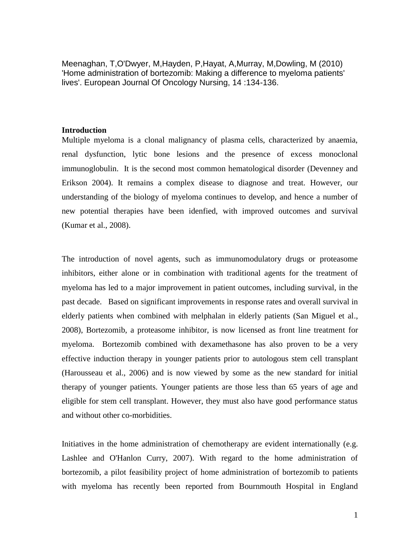Meenaghan, T,O'Dwyer, M,Hayden, P,Hayat, A,Murray, M,Dowling, M (2010) 'Home administration of bortezomib: Making a difference to myeloma patients' lives'. European Journal Of Oncology Nursing, 14 :134-136.

#### **Introduction**

Multiple myeloma is a clonal malignancy of plasma cells, characterized by anaemia, renal dysfunction, lytic bone lesions and the presence of excess monoclonal immunoglobulin. It is the second most common hematological disorder (Devenney and Erikson 2004). It remains a complex disease to diagnose and treat. However, our understanding of the biology of myeloma continues to develop, and hence a number of new potential therapies have been idenfied, with improved outcomes and survival (Kumar et al., 2008).

The introduction of novel agents, such as immunomodulatory drugs or proteasome inhibitors, either alone or in combination with traditional agents for the treatment of myeloma has led to a major improvement in patient outcomes, including survival, in the past decade. Based on significant improvements in response rates and overall survival in elderly patients when combined with melphalan in elderly patients (San Miguel et al., 2008), Bortezomib, a proteasome inhibitor, is now licensed as front line treatment for myeloma. Bortezomib combined with dexamethasone has also proven to be a very effective induction therapy in younger patients prior to autologous stem cell transplant (Harousseau et al., 2006) and is now viewed by some as the new standard for initial therapy of younger patients. Younger patients are those less than 65 years of age and eligible for stem cell transplant. However, they must also have good performance status and without other co-morbidities.

Initiatives in the home administration of chemotherapy are evident internationally (e.g. Lashlee and O'Hanlon Curry, 2007). With regard to the home administration of bortezomib, a pilot feasibility project of home administration of bortezomib to patients with myeloma has recently been reported from Bournmouth Hospital in England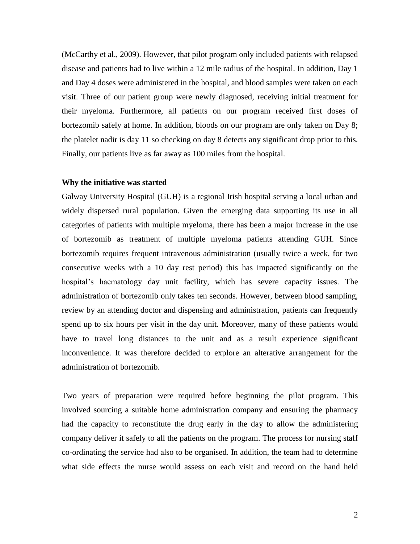(McCarthy et al., 2009). However, that pilot program only included patients with relapsed disease and patients had to live within a 12 mile radius of the hospital. In addition, Day 1 and Day 4 doses were administered in the hospital, and blood samples were taken on each visit. Three of our patient group were newly diagnosed, receiving initial treatment for their myeloma. Furthermore, all patients on our program received first doses of bortezomib safely at home. In addition, bloods on our program are only taken on Day 8; the platelet nadir is day 11 so checking on day 8 detects any significant drop prior to this. Finally, our patients live as far away as 100 miles from the hospital.

#### **Why the initiative was started**

Galway University Hospital (GUH) is a regional Irish hospital serving a local urban and widely dispersed rural population. Given the emerging data supporting its use in all categories of patients with multiple myeloma, there has been a major increase in the use of bortezomib as treatment of multiple myeloma patients attending GUH. Since bortezomib requires frequent intravenous administration (usually twice a week, for two consecutive weeks with a 10 day rest period) this has impacted significantly on the hospital's haematology day unit facility, which has severe capacity issues. The administration of bortezomib only takes ten seconds. However, between blood sampling, review by an attending doctor and dispensing and administration, patients can frequently spend up to six hours per visit in the day unit. Moreover, many of these patients would have to travel long distances to the unit and as a result experience significant inconvenience. It was therefore decided to explore an alterative arrangement for the administration of bortezomib.

Two years of preparation were required before beginning the pilot program. This involved sourcing a suitable home administration company and ensuring the pharmacy had the capacity to reconstitute the drug early in the day to allow the administering company deliver it safely to all the patients on the program. The process for nursing staff co-ordinating the service had also to be organised. In addition, the team had to determine what side effects the nurse would assess on each visit and record on the hand held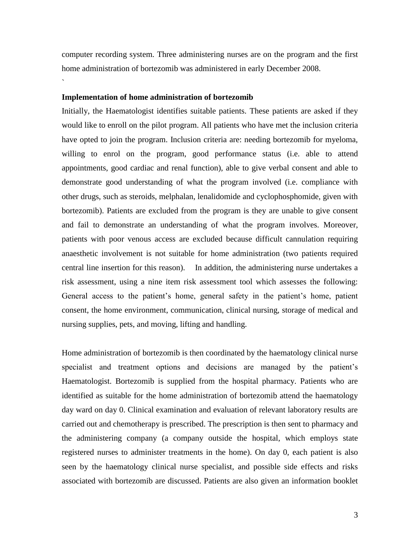computer recording system. Three administering nurses are on the program and the first home administration of bortezomib was administered in early December 2008.

### **Implementation of home administration of bortezomib**

`

Initially, the Haematologist identifies suitable patients. These patients are asked if they would like to enroll on the pilot program. All patients who have met the inclusion criteria have opted to join the program. Inclusion criteria are: needing bortezomib for myeloma, willing to enrol on the program, good performance status (i.e. able to attend appointments, good cardiac and renal function), able to give verbal consent and able to demonstrate good understanding of what the program involved (i.e. compliance with other drugs, such as steroids, melphalan, lenalidomide and cyclophosphomide, given with bortezomib). Patients are excluded from the program is they are unable to give consent and fail to demonstrate an understanding of what the program involves. Moreover, patients with poor venous access are excluded because difficult cannulation requiring anaesthetic involvement is not suitable for home administration (two patients required central line insertion for this reason). In addition, the administering nurse undertakes a risk assessment, using a nine item risk assessment tool which assesses the following: General access to the patient's home, general safety in the patient's home, patient consent, the home environment, communication, clinical nursing, storage of medical and nursing supplies, pets, and moving, lifting and handling.

Home administration of bortezomib is then coordinated by the haematology clinical nurse specialist and treatment options and decisions are managed by the patient's Haematologist. Bortezomib is supplied from the hospital pharmacy. Patients who are identified as suitable for the home administration of bortezomib attend the haematology day ward on day 0. Clinical examination and evaluation of relevant laboratory results are carried out and chemotherapy is prescribed. The prescription is then sent to pharmacy and the administering company (a company outside the hospital, which employs state registered nurses to administer treatments in the home). On day 0, each patient is also seen by the haematology clinical nurse specialist, and possible side effects and risks associated with bortezomib are discussed. Patients are also given an information booklet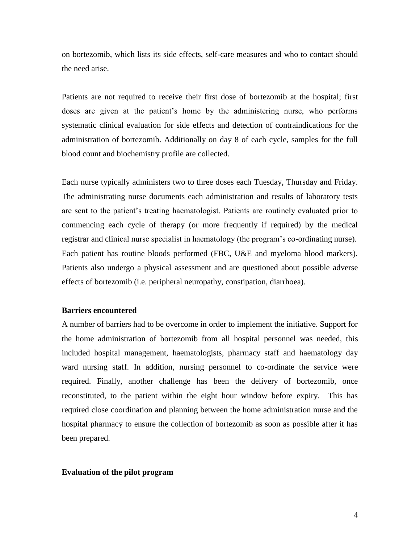on bortezomib, which lists its side effects, self-care measures and who to contact should the need arise.

Patients are not required to receive their first dose of bortezomib at the hospital; first doses are given at the patient's home by the administering nurse, who performs systematic clinical evaluation for side effects and detection of contraindications for the administration of bortezomib. Additionally on day 8 of each cycle, samples for the full blood count and biochemistry profile are collected.

Each nurse typically administers two to three doses each Tuesday, Thursday and Friday. The administrating nurse documents each administration and results of laboratory tests are sent to the patient's treating haematologist. Patients are routinely evaluated prior to commencing each cycle of therapy (or more frequently if required) by the medical registrar and clinical nurse specialist in haematology (the program's co-ordinating nurse). Each patient has routine bloods performed (FBC, U&E and myeloma blood markers). Patients also undergo a physical assessment and are questioned about possible adverse effects of bortezomib (i.e. peripheral neuropathy, constipation, diarrhoea).

# **Barriers encountered**

A number of barriers had to be overcome in order to implement the initiative. Support for the home administration of bortezomib from all hospital personnel was needed, this included hospital management, haematologists, pharmacy staff and haematology day ward nursing staff. In addition, nursing personnel to co-ordinate the service were required. Finally, another challenge has been the delivery of bortezomib, once reconstituted, to the patient within the eight hour window before expiry. This has required close coordination and planning between the home administration nurse and the hospital pharmacy to ensure the collection of bortezomib as soon as possible after it has been prepared.

# **Evaluation of the pilot program**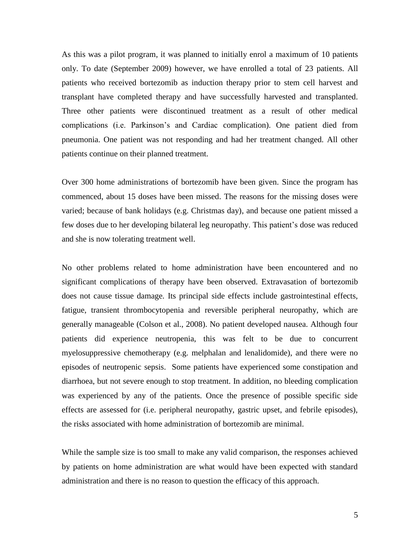As this was a pilot program, it was planned to initially enrol a maximum of 10 patients only. To date (September 2009) however, we have enrolled a total of 23 patients. All patients who received bortezomib as induction therapy prior to stem cell harvest and transplant have completed therapy and have successfully harvested and transplanted. Three other patients were discontinued treatment as a result of other medical complications (i.e. Parkinson's and Cardiac complication). One patient died from pneumonia. One patient was not responding and had her treatment changed. All other patients continue on their planned treatment.

Over 300 home administrations of bortezomib have been given. Since the program has commenced, about 15 doses have been missed. The reasons for the missing doses were varied; because of bank holidays (e.g. Christmas day), and because one patient missed a few doses due to her developing bilateral leg neuropathy. This patient's dose was reduced and she is now tolerating treatment well.

No other problems related to home administration have been encountered and no significant complications of therapy have been observed. Extravasation of bortezomib does not cause tissue damage. Its principal side effects include gastrointestinal effects, fatigue, transient thrombocytopenia and reversible peripheral neuropathy, which are generally manageable (Colson et al., 2008). No patient developed nausea. Although four patients did experience neutropenia, this was felt to be due to concurrent myelosuppressive chemotherapy (e.g. melphalan and lenalidomide), and there were no episodes of neutropenic sepsis. Some patients have experienced some constipation and diarrhoea, but not severe enough to stop treatment. In addition, no bleeding complication was experienced by any of the patients. Once the presence of possible specific side effects are assessed for (i.e. peripheral neuropathy, gastric upset, and febrile episodes), the risks associated with home administration of bortezomib are minimal.

While the sample size is too small to make any valid comparison, the responses achieved by patients on home administration are what would have been expected with standard administration and there is no reason to question the efficacy of this approach.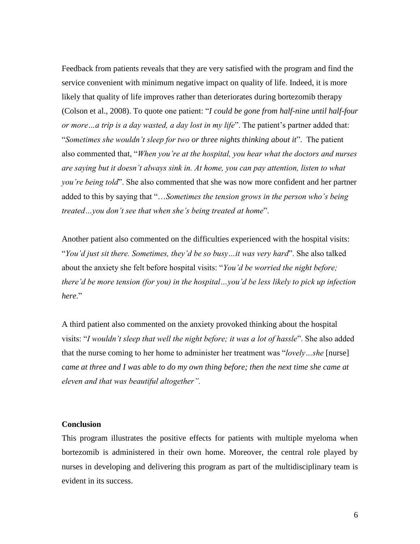Feedback from patients reveals that they are very satisfied with the program and find the service convenient with minimum negative impact on quality of life. Indeed, it is more likely that quality of life improves rather than deteriorates during bortezomib therapy (Colson et al., 2008). To quote one patient: "*I could be gone from half-nine until half-four or more…a trip is a day wasted, a day lost in my life*". The patient's partner added that: "*Sometimes she wouldn't sleep for two or three nights thinking about it*". The patient also commented that, "*When you're at the hospital, you hear what the doctors and nurses are saying but it doesn't always sink in. At home, you can pay attention, listen to what you're being told*". She also commented that she was now more confident and her partner added to this by saying that "…*Sometimes the tension grows in the person who's being treated…you don't see that when she's being treated at home*".

Another patient also commented on the difficulties experienced with the hospital visits: "*You'd just sit there. Sometimes, they'd be so busy…it was very hard*". She also talked about the anxiety she felt before hospital visits: "*You'd be worried the night before; there'd be more tension (for you) in the hospital…you'd be less likely to pick up infection here*."

A third patient also commented on the anxiety provoked thinking about the hospital visits: "*I wouldn't sleep that well the night before; it was a lot of hassle*". She also added that the nurse coming to her home to administer her treatment was "*lovely…she* [nurse] *came at three and I was able to do my own thing before; then the next time she came at eleven and that was beautiful altogether".* 

#### **Conclusion**

This program illustrates the positive effects for patients with multiple myeloma when bortezomib is administered in their own home. Moreover, the central role played by nurses in developing and delivering this program as part of the multidisciplinary team is evident in its success.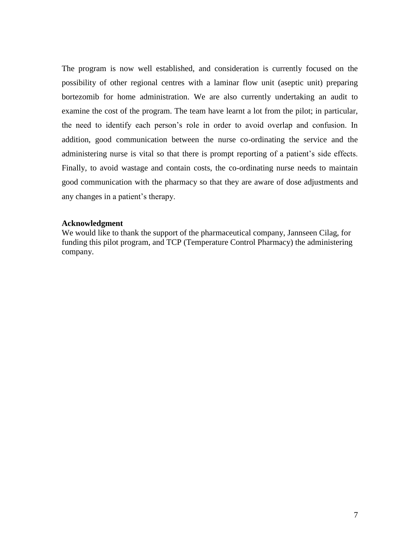The program is now well established, and consideration is currently focused on the possibility of other regional centres with a laminar flow unit (aseptic unit) preparing bortezomib for home administration. We are also currently undertaking an audit to examine the cost of the program. The team have learnt a lot from the pilot; in particular, the need to identify each person's role in order to avoid overlap and confusion. In addition, good communication between the nurse co-ordinating the service and the administering nurse is vital so that there is prompt reporting of a patient's side effects. Finally, to avoid wastage and contain costs, the co-ordinating nurse needs to maintain good communication with the pharmacy so that they are aware of dose adjustments and any changes in a patient's therapy.

# **Acknowledgment**

We would like to thank the support of the pharmaceutical company, Jannseen Cilag, for funding this pilot program, and TCP (Temperature Control Pharmacy) the administering company.